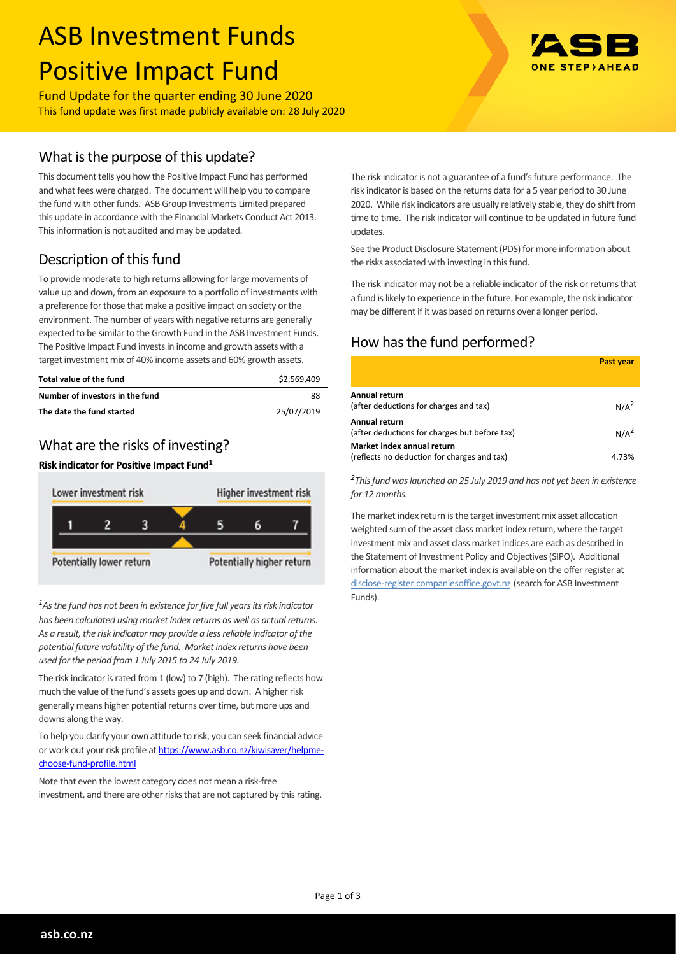# ASB Investment Funds Positive Impact Fund

Fund Update for the quarter ending 30 June 2020 This fund update was first made publicly available on: 28 July 2020

## What is the purpose of this update?

This document tells you how the Positive Impact Fund has performed and what fees were charged. The document will help you to compare the fund with other funds. ASB Group Investments Limited prepared this update in accordance with the Financial Markets Conduct Act 2013. This information is not audited and may be updated.

# Description of this fund

To provide moderate to high returns allowing for large movements of value up and down, from an exposure to a portfolio of investments with a preference for those that make a positive impact on society or the environment. The number of years with negative returns are generally expected to be similar to the Growth Fund in the ASB Investment Funds. The Positive Impact Fund invests in income and growth assets with a target investment mix of 40% income assets and 60% growth assets.

| Total value of the fund         | \$2.569.409 |
|---------------------------------|-------------|
| Number of investors in the fund | 88          |
| The date the fund started       | 25/07/2019  |

## What are the risks of investing?

#### **Risk indicator for Positive Impact Fund<sup>1</sup>**



*<sup>1</sup>As the fund has not been in existence for five full years its risk indicator has been calculated using market index returns as well as actual returns. As a result, the risk indicator may provide a less reliable indicator of the potential future volatility of the fund. Market index returns have been used for the period from 1 July 2015 to 24 July 2019.*

The risk indicator is rated from 1 (low) to 7 (high). The rating reflects how much the value of the fund's assets goes up and down. A higher risk generally means higher potential returns over time, but more ups and downs along the way.

To help you clarify your own attitude to risk, you can seek financial advice or work out your risk profile at [https://www.asb.co.nz/kiwisaver/helpme](https://www.asb.co.nz/kiwisaver/helpme-choose-fund-profile.html)[choose-fund-profile.html](https://www.asb.co.nz/kiwisaver/helpme-choose-fund-profile.html)

Note that even the lowest category does not mean a risk-free investment, and there are other risks that are not captured by this rating.



The risk indicator is not a guarantee of a fund's future performance. The risk indicator is based on the returns data for a 5 year period to 30 June 2020. While risk indicators are usually relatively stable, they do shift from time to time. The risk indicator will continue to be updated in future fund updates.

See the Product Disclosure Statement (PDS) for more information about the risks associated with investing in this fund.

The risk indicator may not be a reliable indicator of the risk or returns that a fund is likely to experience in the future. For example, the risk indicator may be different if it was based on returns over a longer period.

# How has the fund performed?

|                                               | Past year        |
|-----------------------------------------------|------------------|
| Annual return                                 |                  |
| (after deductions for charges and tax)        | N/A <sup>2</sup> |
| Annual return                                 |                  |
| (after deductions for charges but before tax) | N/A <sup>2</sup> |
| Market index annual return                    |                  |
| (reflects no deduction for charges and tax)   | 4.73%            |

*2 This fund was launched on 25 July 2019 and has not yet been in existence for 12 months.*

The market index return is the target investment mix asset allocation weighted sum of the asset class market index return, where the target investment mix and asset class market indices are each as described in the Statement of Investment Policy and Objectives (SIPO). Additional information about the market index is available on the offer register at [disclose-register.companiesoffice.govt.nz](http://www.business.govt.nz/disclose/) (search for ASB Investment Funds).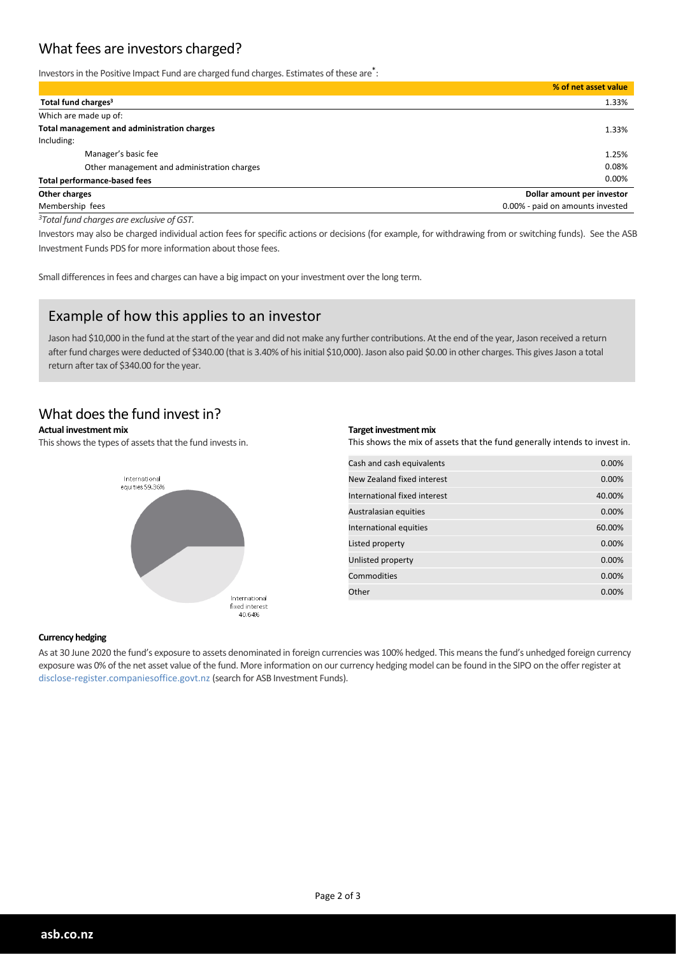## What fees are investors charged?

Investors in the Positive Impact Fund are charged fund charges. Estimates of these are<sup>\*</sup>:

|                                             | % of net asset value             |
|---------------------------------------------|----------------------------------|
| Total fund charges <sup>3</sup>             | 1.33%                            |
| Which are made up of:                       |                                  |
| Total management and administration charges | 1.33%                            |
| Including:                                  |                                  |
| Manager's basic fee                         | 1.25%                            |
| Other management and administration charges | 0.08%                            |
| <b>Total performance-based fees</b>         | 0.00%                            |
| Other charges                               | Dollar amount per investor       |
| Membership fees                             | 0.00% - paid on amounts invested |

*<sup>3</sup>Total fund charges are exclusive of GST.*

Investors may also be charged individual action fees for specific actions or decisions (for example, for withdrawing from or switching funds). See the ASB Investment Funds PDS for more information about those fees.

Small differences in fees and charges can have a big impact on your investment over the long term.

## Example of how this applies to an investor

Jason had \$10,000 in the fund at the start of the year and did not make any further contributions. At the end of the year, Jason received a return after fund charges were deducted of \$340.00 (that is 3.40% of his initial \$10,000). Jason also paid \$0.00 in other charges. This gives Jason a total return after tax of \$340.00 for the year.

#### What does the fund invest in?

#### **Actual investment mix**

This shows the types of assets that the fund invests in.



#### **Target investment mix**

This shows the mix of assets that the fund generally intends to invest in.

| Cash and cash equivalents    | 0.00%  |
|------------------------------|--------|
| New Zealand fixed interest   | 0.00%  |
| International fixed interest | 40.00% |
| Australasian equities        | 0.00%  |
| International equities       | 60.00% |
| Listed property              | 0.00%  |
| Unlisted property            | 0.00%  |
| Commodities                  | 0.00%  |
| Other                        | 0.00%  |
|                              |        |

#### **Currency hedging**

As at 30 June 2020 the fund's exposure to assets denominated in foreign currencies was 100% hedged. This means the fund's unhedged foreign currency exposure was 0% of the net asset value of the fund. More information on our currency hedging model can be found in the SIPO on the offer register at disclose-register.companiesoffice.govt.nz (search for ASB Investment Funds).